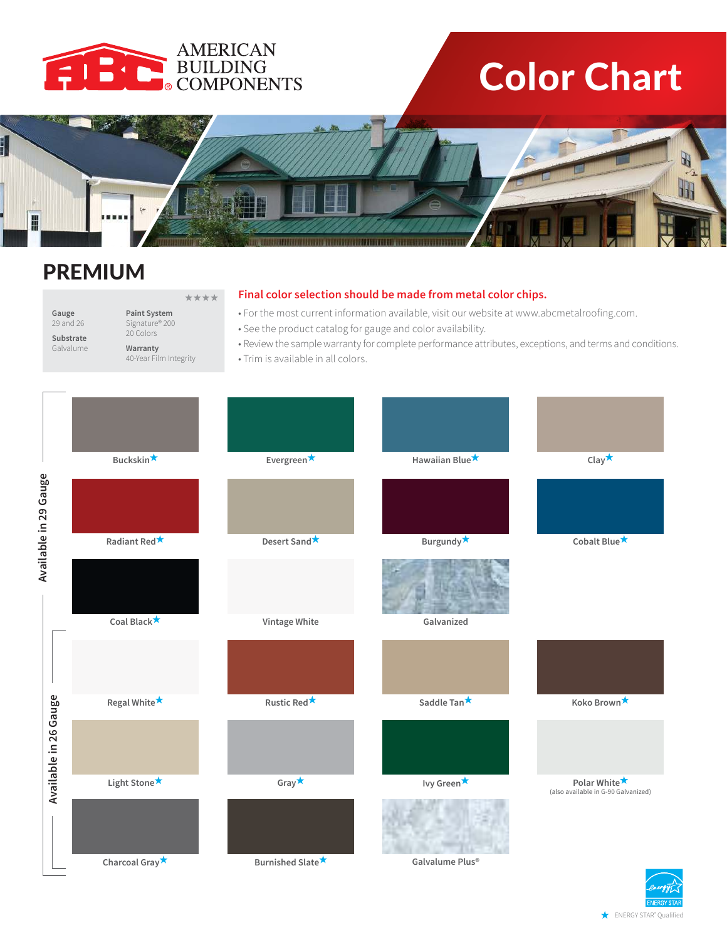

# Color Chart



### PREMIUM

#### **Final color selection should be made from metal color chips.**

**Gauge** 29 and 26 **Substrate** 

Galvalume

**Paint System**  Signature® 200 20 Colors

\*\*\*\*

**Warranty**  40-Year Film Integrity • See the product catalog for gauge and color availability.

• Review the sample warranty for complete performance attributes, exceptions, and terms and conditions.

• For the most current information available, visit our website at www.abcmetalroofing.com.

• Trim is available in all colors.

|                       | Buckskin                         | Evergreen $\star$            | Hawaiian Blue $\star$   | $Clay*$                                              |
|-----------------------|----------------------------------|------------------------------|-------------------------|------------------------------------------------------|
| Available in 29 Gauge |                                  |                              |                         |                                                      |
|                       | Radiant Red <sup>*</sup>         | Desert Sand                  | Burgundy                | Cobalt Blue <sup>*</sup>                             |
|                       |                                  |                              |                         |                                                      |
|                       | Coal Black <sup>*</sup>          | Vintage White                | Galvanized              |                                                      |
|                       |                                  |                              |                         |                                                      |
|                       | Regal White <sup>*</sup>         | Rustic Red <sup>*</sup>      | Saddle Tan <sup>*</sup> | Koko Brown                                           |
| Available in 26 Gauge |                                  |                              |                         |                                                      |
|                       | Light Stone <sup>*</sup>         | Gray $\star$                 | Ivy Green <sup>*</sup>  | Polar White *<br>(also available in G-90 Galvanized) |
|                       |                                  |                              |                         |                                                      |
|                       | Charcoal Gray $\overline{\star}$ | Burnished Slate <sup>*</sup> | Galvalume Plus®         |                                                      |